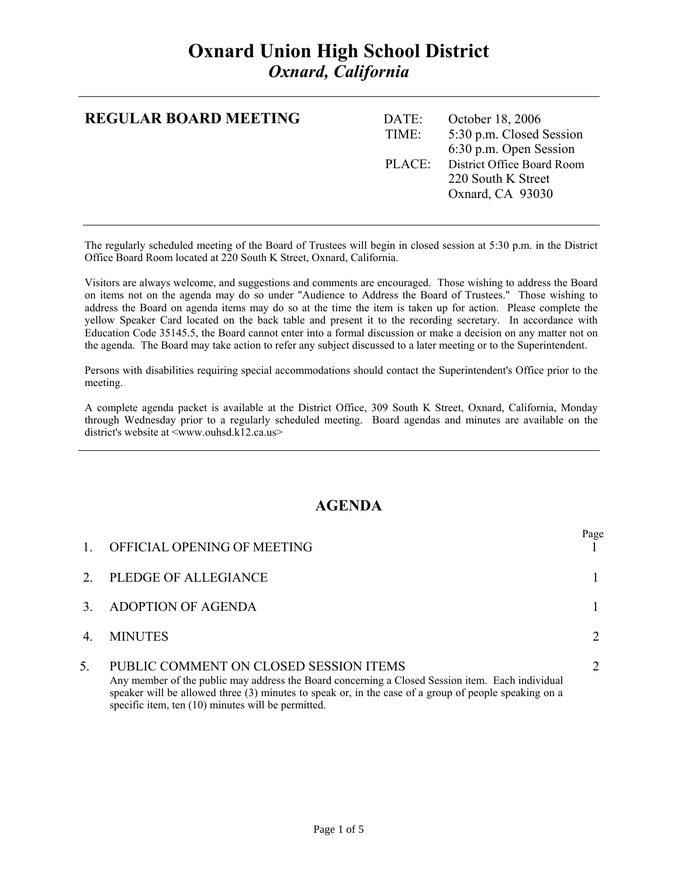# **Oxnard Union High School District**  *Oxnard, California*

| <b>REGULAR BOARD MEETING</b> | DATE: | October 18, 2006           |
|------------------------------|-------|----------------------------|
|                              | TIME: | 5:30 p.m. Closed Session   |
|                              |       | 6:30 p.m. Open Session     |
|                              | PLACE | District Office Board Room |
|                              |       | 220 South K Street         |
|                              |       | Oxnard, CA 93030           |
|                              |       |                            |
|                              |       |                            |

The regularly scheduled meeting of the Board of Trustees will begin in closed session at 5:30 p.m. in the District Office Board Room located at 220 South K Street, Oxnard, California.

Visitors are always welcome, and suggestions and comments are encouraged. Those wishing to address the Board on items not on the agenda may do so under "Audience to Address the Board of Trustees." Those wishing to address the Board on agenda items may do so at the time the item is taken up for action. Please complete the yellow Speaker Card located on the back table and present it to the recording secretary. In accordance with Education Code 35145.5, the Board cannot enter into a formal discussion or make a decision on any matter not on the agenda. The Board may take action to refer any subject discussed to a later meeting or to the Superintendent.

Persons with disabilities requiring special accommodations should contact the Superintendent's Office prior to the meeting.

A complete agenda packet is available at the District Office, 309 South K Street, Oxnard, California, Monday through Wednesday prior to a regularly scheduled meeting. Board agendas and minutes are available on the district's website at  $\langle$ www.ouhsd.k12.ca.us>

## **AGENDA**

|    | OFFICIAL OPENING OF MEETING                                                                                                                                                                                                                                                                                 | Page |
|----|-------------------------------------------------------------------------------------------------------------------------------------------------------------------------------------------------------------------------------------------------------------------------------------------------------------|------|
|    | PLEDGE OF ALLEGIANCE                                                                                                                                                                                                                                                                                        |      |
|    | <b>ADOPTION OF AGENDA</b>                                                                                                                                                                                                                                                                                   |      |
| 4  | <b>MINUTES</b>                                                                                                                                                                                                                                                                                              |      |
| 5. | PUBLIC COMMENT ON CLOSED SESSION ITEMS<br>Any member of the public may address the Board concerning a Closed Session item. Each individual<br>speaker will be allowed three $(3)$ minutes to speak or, in the case of a group of people speaking on a<br>specific item, ten (10) minutes will be permitted. |      |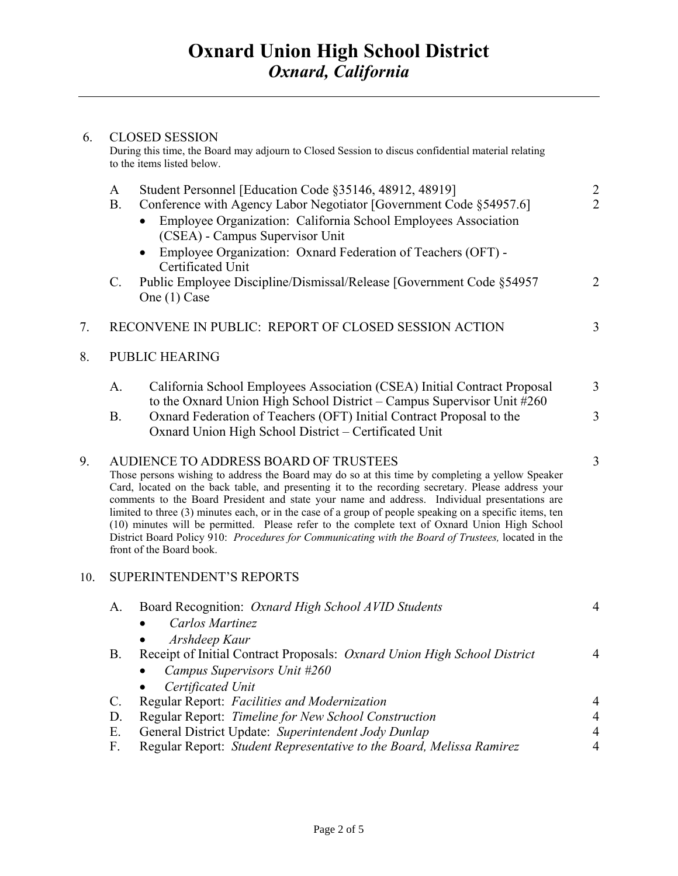### 6. CLOSED SESSION

During this time, the Board may adjourn to Closed Session to discus confidential material relating to the items listed below.

|                             | A<br><b>B.</b>                                                                                                                                                                                                                                                                                                                                                                                                                                                                                                                                                                                                                                                                                  | Student Personnel [Education Code §35146, 48912, 48919]<br>Conference with Agency Labor Negotiator [Government Code §54957.6]<br>Employee Organization: California School Employees Association<br>(CSEA) - Campus Supervisor Unit<br>Employee Organization: Oxnard Federation of Teachers (OFT) - | $\overline{2}$<br>$\overline{2}$ |
|-----------------------------|-------------------------------------------------------------------------------------------------------------------------------------------------------------------------------------------------------------------------------------------------------------------------------------------------------------------------------------------------------------------------------------------------------------------------------------------------------------------------------------------------------------------------------------------------------------------------------------------------------------------------------------------------------------------------------------------------|----------------------------------------------------------------------------------------------------------------------------------------------------------------------------------------------------------------------------------------------------------------------------------------------------|----------------------------------|
|                             | $C_{\cdot}$                                                                                                                                                                                                                                                                                                                                                                                                                                                                                                                                                                                                                                                                                     | Certificated Unit<br>Public Employee Discipline/Dismissal/Release [Government Code §54957<br>One (1) Case                                                                                                                                                                                          | $\overline{2}$                   |
| 7.                          |                                                                                                                                                                                                                                                                                                                                                                                                                                                                                                                                                                                                                                                                                                 | RECONVENE IN PUBLIC: REPORT OF CLOSED SESSION ACTION                                                                                                                                                                                                                                               | 3                                |
| 8.<br><b>PUBLIC HEARING</b> |                                                                                                                                                                                                                                                                                                                                                                                                                                                                                                                                                                                                                                                                                                 |                                                                                                                                                                                                                                                                                                    |                                  |
|                             | A.                                                                                                                                                                                                                                                                                                                                                                                                                                                                                                                                                                                                                                                                                              | California School Employees Association (CSEA) Initial Contract Proposal                                                                                                                                                                                                                           | $\overline{3}$                   |
|                             | <b>B.</b>                                                                                                                                                                                                                                                                                                                                                                                                                                                                                                                                                                                                                                                                                       | to the Oxnard Union High School District - Campus Supervisor Unit #260<br>Oxnard Federation of Teachers (OFT) Initial Contract Proposal to the<br>Oxnard Union High School District - Certificated Unit                                                                                            | 3                                |
| 9.                          | AUDIENCE TO ADDRESS BOARD OF TRUSTEES<br>Those persons wishing to address the Board may do so at this time by completing a yellow Speaker<br>Card, located on the back table, and presenting it to the recording secretary. Please address your<br>comments to the Board President and state your name and address. Individual presentations are<br>limited to three (3) minutes each, or in the case of a group of people speaking on a specific items, ten<br>(10) minutes will be permitted. Please refer to the complete text of Oxnard Union High School<br>District Board Policy 910: Procedures for Communicating with the Board of Trustees, located in the<br>front of the Board book. |                                                                                                                                                                                                                                                                                                    | 3                                |
| 10.                         |                                                                                                                                                                                                                                                                                                                                                                                                                                                                                                                                                                                                                                                                                                 | <b>SUPERINTENDENT'S REPORTS</b>                                                                                                                                                                                                                                                                    |                                  |
|                             | A.                                                                                                                                                                                                                                                                                                                                                                                                                                                                                                                                                                                                                                                                                              | Board Recognition: Oxnard High School AVID Students<br>Carlos Martinez<br>Arshdeep Kaur                                                                                                                                                                                                            | $\overline{4}$                   |
|                             | B.                                                                                                                                                                                                                                                                                                                                                                                                                                                                                                                                                                                                                                                                                              | Receipt of Initial Contract Proposals: Oxnard Union High School District<br>• Campus Supervisors Unit $#260$<br>Certificated Unit                                                                                                                                                                  | $\overline{4}$                   |
|                             | C.                                                                                                                                                                                                                                                                                                                                                                                                                                                                                                                                                                                                                                                                                              | Regular Report: Facilities and Modernization                                                                                                                                                                                                                                                       | 4                                |
|                             | D.<br>Ε.                                                                                                                                                                                                                                                                                                                                                                                                                                                                                                                                                                                                                                                                                        | Regular Report: Timeline for New School Construction<br>General District Update: Superintendent Jody Dunlap                                                                                                                                                                                        | $\overline{4}$<br>$\overline{4}$ |
|                             | F.                                                                                                                                                                                                                                                                                                                                                                                                                                                                                                                                                                                                                                                                                              | Regular Report: Student Representative to the Board, Melissa Ramirez                                                                                                                                                                                                                               | $\overline{4}$                   |
|                             |                                                                                                                                                                                                                                                                                                                                                                                                                                                                                                                                                                                                                                                                                                 |                                                                                                                                                                                                                                                                                                    |                                  |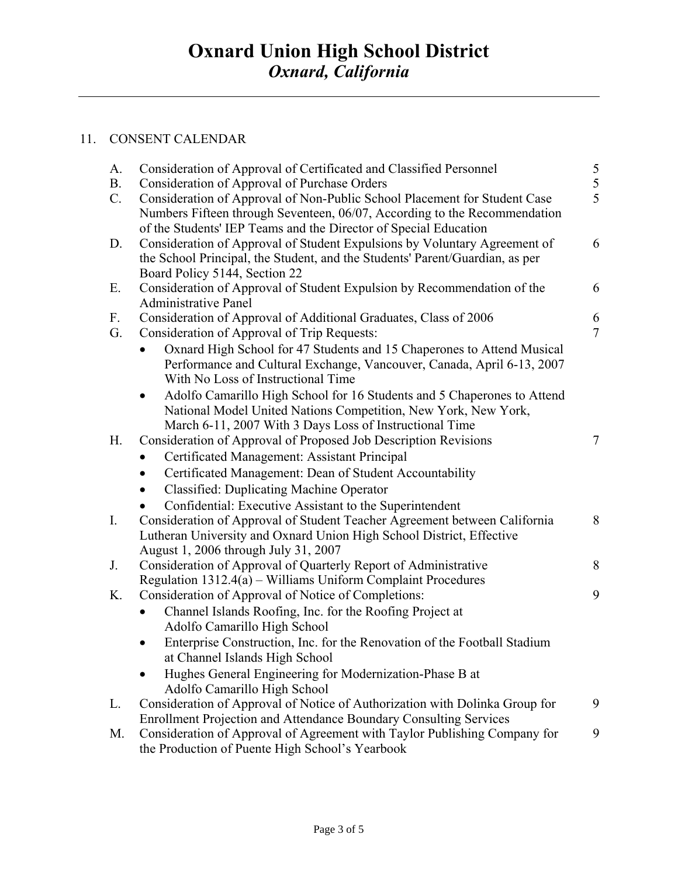## 11. CONSENT CALENDAR

| A.          | Consideration of Approval of Certificated and Classified Personnel                                                                                        | $\frac{5}{5}$  |
|-------------|-----------------------------------------------------------------------------------------------------------------------------------------------------------|----------------|
| <b>B.</b>   | Consideration of Approval of Purchase Orders                                                                                                              |                |
| $C_{\cdot}$ | Consideration of Approval of Non-Public School Placement for Student Case                                                                                 | 5              |
|             | Numbers Fifteen through Seventeen, 06/07, According to the Recommendation                                                                                 |                |
|             | of the Students' IEP Teams and the Director of Special Education                                                                                          | 6              |
| D.          | Consideration of Approval of Student Expulsions by Voluntary Agreement of<br>the School Principal, the Student, and the Students' Parent/Guardian, as per |                |
|             | Board Policy 5144, Section 22                                                                                                                             |                |
| Ε.          | Consideration of Approval of Student Expulsion by Recommendation of the                                                                                   | 6              |
|             | <b>Administrative Panel</b>                                                                                                                               |                |
| F.          | Consideration of Approval of Additional Graduates, Class of 2006                                                                                          | 6              |
| G.          | Consideration of Approval of Trip Requests:                                                                                                               | $\overline{7}$ |
|             | Oxnard High School for 47 Students and 15 Chaperones to Attend Musical                                                                                    |                |
|             | Performance and Cultural Exchange, Vancouver, Canada, April 6-13, 2007                                                                                    |                |
|             | With No Loss of Instructional Time                                                                                                                        |                |
|             | Adolfo Camarillo High School for 16 Students and 5 Chaperones to Attend                                                                                   |                |
|             | National Model United Nations Competition, New York, New York,                                                                                            |                |
|             | March 6-11, 2007 With 3 Days Loss of Instructional Time                                                                                                   |                |
| H.          | Consideration of Approval of Proposed Job Description Revisions                                                                                           | $\tau$         |
|             | Certificated Management: Assistant Principal                                                                                                              |                |
|             | Certificated Management: Dean of Student Accountability                                                                                                   |                |
|             | <b>Classified: Duplicating Machine Operator</b>                                                                                                           |                |
|             | Confidential: Executive Assistant to the Superintendent                                                                                                   |                |
| $I_{\cdot}$ | Consideration of Approval of Student Teacher Agreement between California                                                                                 | 8              |
|             | Lutheran University and Oxnard Union High School District, Effective                                                                                      |                |
|             | August 1, 2006 through July 31, 2007                                                                                                                      |                |
| J.          | Consideration of Approval of Quarterly Report of Administrative                                                                                           | 8              |
| K.          | Regulation $1312.4(a)$ – Williams Uniform Complaint Procedures                                                                                            | 9              |
|             | Consideration of Approval of Notice of Completions:                                                                                                       |                |
|             | Channel Islands Roofing, Inc. for the Roofing Project at<br>Adolfo Camarillo High School                                                                  |                |
|             | Enterprise Construction, Inc. for the Renovation of the Football Stadium                                                                                  |                |
|             | at Channel Islands High School                                                                                                                            |                |
|             | Hughes General Engineering for Modernization-Phase B at                                                                                                   |                |
|             | Adolfo Camarillo High School                                                                                                                              |                |
| L.          | Consideration of Approval of Notice of Authorization with Dolinka Group for                                                                               | 9              |
|             | Enrollment Projection and Attendance Boundary Consulting Services                                                                                         |                |
| M.          | Consideration of Approval of Agreement with Taylor Publishing Company for                                                                                 | 9              |
|             | the Production of Puente High School's Yearbook                                                                                                           |                |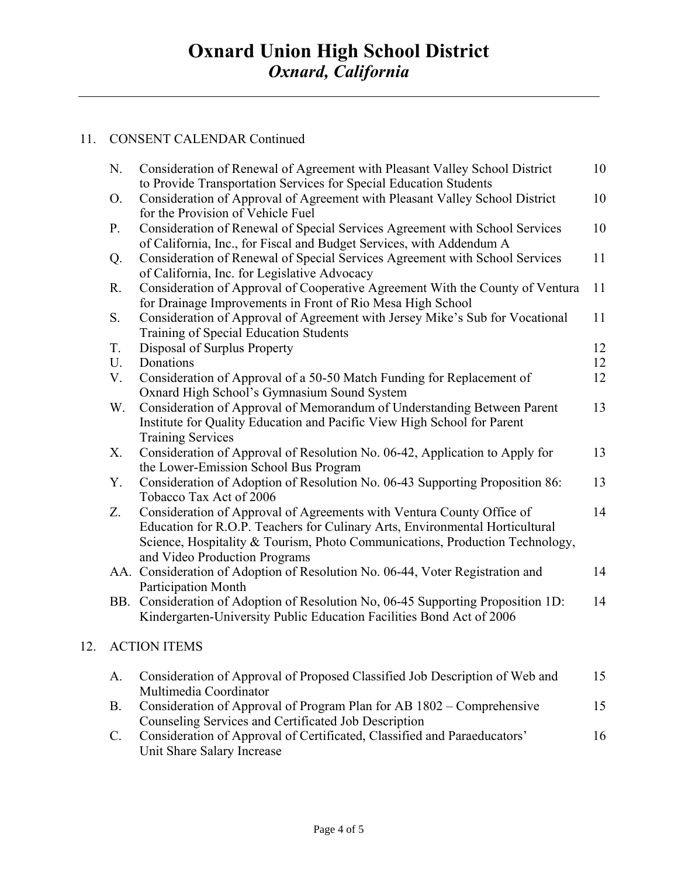#### 11. CONSENT CALENDAR Continued

 $12.$ 

|     | N.          | Consideration of Renewal of Agreement with Pleasant Valley School District                                                                                                                                                                                             | 10 |
|-----|-------------|------------------------------------------------------------------------------------------------------------------------------------------------------------------------------------------------------------------------------------------------------------------------|----|
|     | O.          | to Provide Transportation Services for Special Education Students<br>Consideration of Approval of Agreement with Pleasant Valley School District<br>for the Provision of Vehicle Fuel                                                                                  | 10 |
|     | $P_{\cdot}$ | Consideration of Renewal of Special Services Agreement with School Services<br>of California, Inc., for Fiscal and Budget Services, with Addendum A                                                                                                                    | 10 |
|     | Q.          | Consideration of Renewal of Special Services Agreement with School Services<br>of California, Inc. for Legislative Advocacy                                                                                                                                            | 11 |
|     | R.          | Consideration of Approval of Cooperative Agreement With the County of Ventura<br>for Drainage Improvements in Front of Rio Mesa High School                                                                                                                            | 11 |
|     | S.          | Consideration of Approval of Agreement with Jersey Mike's Sub for Vocational<br>Training of Special Education Students                                                                                                                                                 | 11 |
|     | T.          | Disposal of Surplus Property                                                                                                                                                                                                                                           | 12 |
|     | U.          | Donations                                                                                                                                                                                                                                                              | 12 |
|     | V.          | Consideration of Approval of a 50-50 Match Funding for Replacement of<br>Oxnard High School's Gymnasium Sound System                                                                                                                                                   | 12 |
|     | W.          | Consideration of Approval of Memorandum of Understanding Between Parent<br>Institute for Quality Education and Pacific View High School for Parent<br><b>Training Services</b>                                                                                         | 13 |
|     | Х.          | Consideration of Approval of Resolution No. 06-42, Application to Apply for<br>the Lower-Emission School Bus Program                                                                                                                                                   | 13 |
|     | Υ.          | Consideration of Adoption of Resolution No. 06-43 Supporting Proposition 86:<br>Tobacco Tax Act of 2006                                                                                                                                                                | 13 |
|     | Z.          | Consideration of Approval of Agreements with Ventura County Office of<br>Education for R.O.P. Teachers for Culinary Arts, Environmental Horticultural<br>Science, Hospitality & Tourism, Photo Communications, Production Technology,<br>and Video Production Programs | 14 |
|     |             | AA. Consideration of Adoption of Resolution No. 06-44, Voter Registration and<br><b>Participation Month</b>                                                                                                                                                            | 14 |
|     |             | BB. Consideration of Adoption of Resolution No, 06-45 Supporting Proposition 1D:<br>Kindergarten-University Public Education Facilities Bond Act of 2006                                                                                                               | 14 |
| 12. |             | <b>ACTION ITEMS</b>                                                                                                                                                                                                                                                    |    |
|     | A.          | Consideration of Approval of Proposed Classified Job Description of Web and<br>Multimedia Coordinator                                                                                                                                                                  | 15 |
|     | <b>B.</b>   | Consideration of Approval of Program Plan for AB 1802 – Comprehensive<br>Counseling Services and Certificated Job Description                                                                                                                                          | 15 |
|     |             | Consideration of Approval of Certificated, Classified and Paraducators'                                                                                                                                                                                                | 16 |